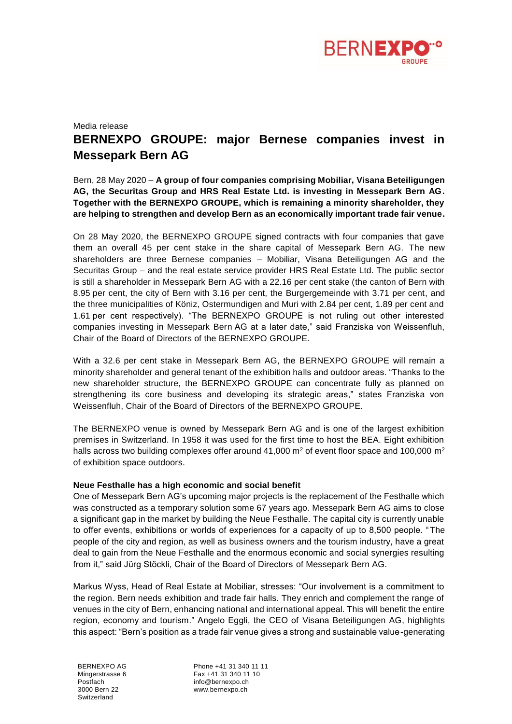

# Media release **BERNEXPO GROUPE: major Bernese companies invest in Messepark Bern AG**

Bern, 28 May 2020 – **A group of four companies comprising Mobiliar, Visana Beteiligungen AG, the Securitas Group and HRS Real Estate Ltd. is investing in Messepark Bern AG. Together with the BERNEXPO GROUPE, which is remaining a minority shareholder, they are helping to strengthen and develop Bern as an economically important trade fair venue.**

On 28 May 2020, the BERNEXPO GROUPE signed contracts with four companies that gave them an overall 45 per cent stake in the share capital of Messepark Bern AG. The new shareholders are three Bernese companies – Mobiliar, Visana Beteiligungen AG and the Securitas Group – and the real estate service provider HRS Real Estate Ltd. The public sector is still a shareholder in Messepark Bern AG with a 22.16 per cent stake (the canton of Bern with 8.95 per cent, the city of Bern with 3.16 per cent, the Burgergemeinde with 3.71 per cent, and the three municipalities of Köniz, Ostermundigen and Muri with 2.84 per cent, 1.89 per cent and 1.61 per cent respectively). "The BERNEXPO GROUPE is not ruling out other interested companies investing in Messepark Bern AG at a later date," said Franziska von Weissenfluh, Chair of the Board of Directors of the BERNEXPO GROUPE.

With a 32.6 per cent stake in Messepark Bern AG, the BERNEXPO GROUPE will remain a minority shareholder and general tenant of the exhibition halls and outdoor areas. "Thanks to the new shareholder structure, the BERNEXPO GROUPE can concentrate fully as planned on strengthening its core business and developing its strategic areas," states Franziska von Weissenfluh, Chair of the Board of Directors of the BERNEXPO GROUPE.

The BERNEXPO venue is owned by Messepark Bern AG and is one of the largest exhibition premises in Switzerland. In 1958 it was used for the first time to host the BEA. Eight exhibition halls across two building complexes offer around 41,000  $\text{m}^2$  of event floor space and 100,000  $\text{m}^2$ of exhibition space outdoors.

## **Neue Festhalle has a high economic and social benefit**

One of Messepark Bern AG's upcoming major projects is the replacement of the Festhalle which was constructed as a temporary solution some 67 years ago. Messepark Bern AG aims to close a significant gap in the market by building the Neue Festhalle. The capital city is currently unable to offer events, exhibitions or worlds of experiences for a capacity of up to 8,500 people. "The people of the city and region, as well as business owners and the tourism industry, have a great deal to gain from the Neue Festhalle and the enormous economic and social synergies resulting from it," said Jürg Stöckli, Chair of the Board of Directors of Messepark Bern AG.

Markus Wyss, Head of Real Estate at Mobiliar, stresses: "Our involvement is a commitment to the region. Bern needs exhibition and trade fair halls. They enrich and complement the range of venues in the city of Bern, enhancing national and international appeal. This will benefit the entire region, economy and tourism." Angelo Eggli, the CEO of Visana Beteiligungen AG, highlights this aspect: "Bern's position as a trade fair venue gives a strong and sustainable value-generating

BERNEXPO AG Mingerstrasse 6 Postfach 3000 Bern 22 Switzerland

Phone +41 31 340 11 11 Fax +41 31 340 11 10 info@bernexpo.ch www.bernexpo.ch